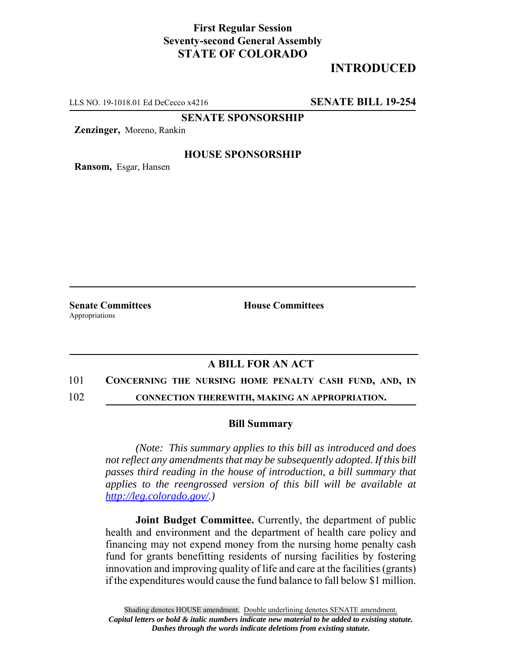## **First Regular Session Seventy-second General Assembly STATE OF COLORADO**

# **INTRODUCED**

LLS NO. 19-1018.01 Ed DeCecco x4216 **SENATE BILL 19-254**

**SENATE SPONSORSHIP**

**Zenzinger,** Moreno, Rankin

### **HOUSE SPONSORSHIP**

**Ransom,** Esgar, Hansen

Appropriations

**Senate Committees House Committees** 

### **A BILL FOR AN ACT**

#### 101 **CONCERNING THE NURSING HOME PENALTY CASH FUND, AND, IN**

102 **CONNECTION THEREWITH, MAKING AN APPROPRIATION.**

#### **Bill Summary**

*(Note: This summary applies to this bill as introduced and does not reflect any amendments that may be subsequently adopted. If this bill passes third reading in the house of introduction, a bill summary that applies to the reengrossed version of this bill will be available at http://leg.colorado.gov/.)*

**Joint Budget Committee.** Currently, the department of public health and environment and the department of health care policy and financing may not expend money from the nursing home penalty cash fund for grants benefitting residents of nursing facilities by fostering innovation and improving quality of life and care at the facilities (grants) if the expenditures would cause the fund balance to fall below \$1 million.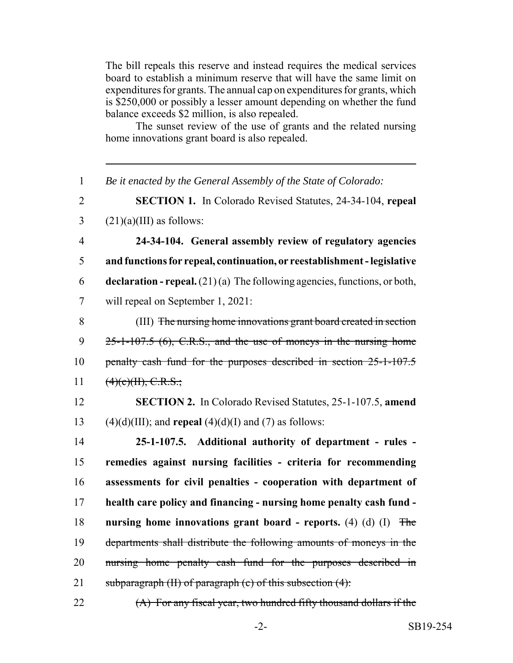The bill repeals this reserve and instead requires the medical services board to establish a minimum reserve that will have the same limit on expenditures for grants. The annual cap on expenditures for grants, which is \$250,000 or possibly a lesser amount depending on whether the fund balance exceeds \$2 million, is also repealed.

The sunset review of the use of grants and the related nursing home innovations grant board is also repealed.

| $\mathbf{1}$   | Be it enacted by the General Assembly of the State of Colorado:                    |
|----------------|------------------------------------------------------------------------------------|
| $\overline{2}$ | <b>SECTION 1.</b> In Colorado Revised Statutes, 24-34-104, repeal                  |
| 3              | $(21)(a)(III)$ as follows:                                                         |
| $\overline{4}$ | 24-34-104. General assembly review of regulatory agencies                          |
| 5              | and functions for repeal, continuation, or reestablishment - legislative           |
| 6              | <b>declaration - repeal.</b> $(21)(a)$ The following agencies, functions, or both, |
| $\overline{7}$ | will repeal on September 1, 2021:                                                  |
| 8              | (III) The nursing home innovations grant board created in section                  |
| 9              | $25$ -1-107.5 (6), C.R.S., and the use of moneys in the nursing home               |
| 10             | penalty cash fund for the purposes described in section 25-1-107.5                 |
| 11             | (4)(e)(H), C.R.S.;                                                                 |
| 12             | <b>SECTION 2.</b> In Colorado Revised Statutes, 25-1-107.5, amend                  |
| 13             | $(4)(d)(III)$ ; and <b>repeal</b> $(4)(d)(I)$ and $(7)$ as follows:                |
| 14             | 25-1-107.5. Additional authority of department - rules -                           |
| 15             | remedies against nursing facilities - criteria for recommending                    |
| 16             | assessments for civil penalties - cooperation with department of                   |
| 17             | health care policy and financing - nursing home penalty cash fund -                |
| 18             | nursing home innovations grant board - reports. $(4)$ $(d)$ $(I)$<br><b>The</b>    |
| 19             | departments shall distribute the following amounts of moneys in the                |
| 20             | nursing home penalty cash fund for the purposes described in                       |
| 21             | subparagraph (II) of paragraph (c) of this subsection (4):                         |
| 22             | (A) For any fiscal year, two hundred fifty thousand dollars if the                 |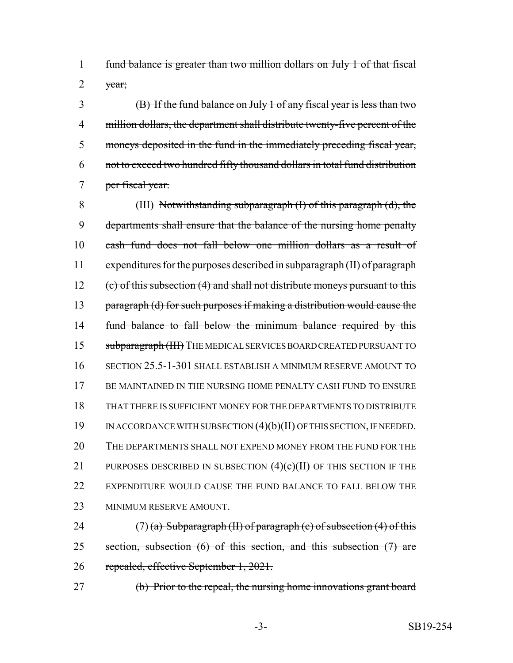fund balance is greater than two million dollars on July 1 of that fiscal 2  $\forall$  vear;

 (B) If the fund balance on July 1 of any fiscal year is less than two million dollars, the department shall distribute twenty-five percent of the moneys deposited in the fund in the immediately preceding fiscal year, not to exceed two hundred fifty thousand dollars in total fund distribution 7 per fiscal year.

 (III) Notwithstanding subparagraph (I) of this paragraph (d), the departments shall ensure that the balance of the nursing home penalty cash fund does not fall below one million dollars as a result of expenditures for the purposes described in subparagraph (II) of paragraph 12 (c) of this subsection (4) and shall not distribute moneys pursuant to this 13 paragraph (d) for such purposes if making a distribution would cause the 14 fund balance to fall below the minimum balance required by this 15 subparagraph (III) THE MEDICAL SERVICES BOARD CREATED PURSUANT TO SECTION 25.5-1-301 SHALL ESTABLISH A MINIMUM RESERVE AMOUNT TO BE MAINTAINED IN THE NURSING HOME PENALTY CASH FUND TO ENSURE THAT THERE IS SUFFICIENT MONEY FOR THE DEPARTMENTS TO DISTRIBUTE IN ACCORDANCE WITH SUBSECTION (4)(b)(II) OF THIS SECTION, IF NEEDED. THE DEPARTMENTS SHALL NOT EXPEND MONEY FROM THE FUND FOR THE 21 PURPOSES DESCRIBED IN SUBSECTION  $(4)(c)(II)$  OF THIS SECTION IF THE 22 EXPENDITURE WOULD CAUSE THE FUND BALANCE TO FALL BELOW THE MINIMUM RESERVE AMOUNT.

24 (7) (a) Subparagraph (II) of paragraph (c) of subsection (4) of this 25 section, subsection (6) of this section, and this subsection (7) are repealed, effective September 1, 2021.

(b) Prior to the repeal, the nursing home innovations grant board